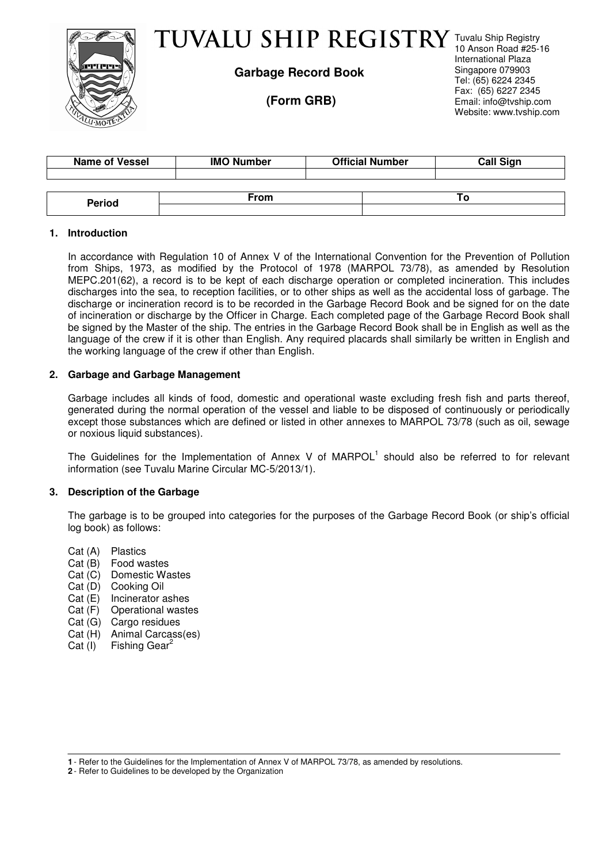

# TUVALU SHIP REGISTRY Tuvalu Ship Registry

**Garbage Record Book** 

 **(Form GRB)** 

10 Anson Road #25-16 International Plaza Singapore 079903 Tel: (65) 6224 2345 Fax: (65) 6227 2345 Email: info@tvship.com Website: www.tvship.com

| <b>Name of Vessel</b> | <b>IMO Number</b> | <b>Official Number</b> | <b>Call Sign</b> |  |
|-----------------------|-------------------|------------------------|------------------|--|
|                       |                   |                        |                  |  |
|                       |                   |                        |                  |  |
| <b>Period</b>         | From              |                        |                  |  |
|                       |                   |                        |                  |  |

# **1. Introduction**

In accordance with Regulation 10 of Annex V of the International Convention for the Prevention of Pollution from Ships, 1973, as modified by the Protocol of 1978 (MARPOL 73/78), as amended by Resolution MEPC.201(62), a record is to be kept of each discharge operation or completed incineration. This includes discharges into the sea, to reception facilities, or to other ships as well as the accidental loss of garbage. The discharge or incineration record is to be recorded in the Garbage Record Book and be signed for on the date of incineration or discharge by the Officer in Charge. Each completed page of the Garbage Record Book shall be signed by the Master of the ship. The entries in the Garbage Record Book shall be in English as well as the language of the crew if it is other than English. Any required placards shall similarly be written in English and the working language of the crew if other than English.

### **2. Garbage and Garbage Management**

Garbage includes all kinds of food, domestic and operational waste excluding fresh fish and parts thereof, generated during the normal operation of the vessel and liable to be disposed of continuously or periodically except those substances which are defined or listed in other annexes to MARPOL 73/78 (such as oil, sewage or noxious liquid substances).

The Guidelines for the Implementation of Annex V of  $MAPOL<sup>1</sup>$  should also be referred to for relevant information (see Tuvalu Marine Circular MC-5/2013/1).

# **3. Description of the Garbage**

The garbage is to be grouped into categories for the purposes of the Garbage Record Book (or ship's official log book) as follows:

- Cat (A) Plastics
- Cat (B) Food wastes
- Cat (C) Domestic Wastes
- Cat (D) Cooking Oil
- Cat (E) Incinerator ashes
- Cat (F) Operational wastes
- Cat (G) Cargo residues
- Cat (H) Animal Carcass(es)
- Cat  $(I)$  Fishing Gear<sup>2</sup>

**2** - Refer to Guidelines to be developed by the Organization

**<sup>1</sup>** - Refer to the Guidelines for the Implementation of Annex V of MARPOL 73/78, as amended by resolutions.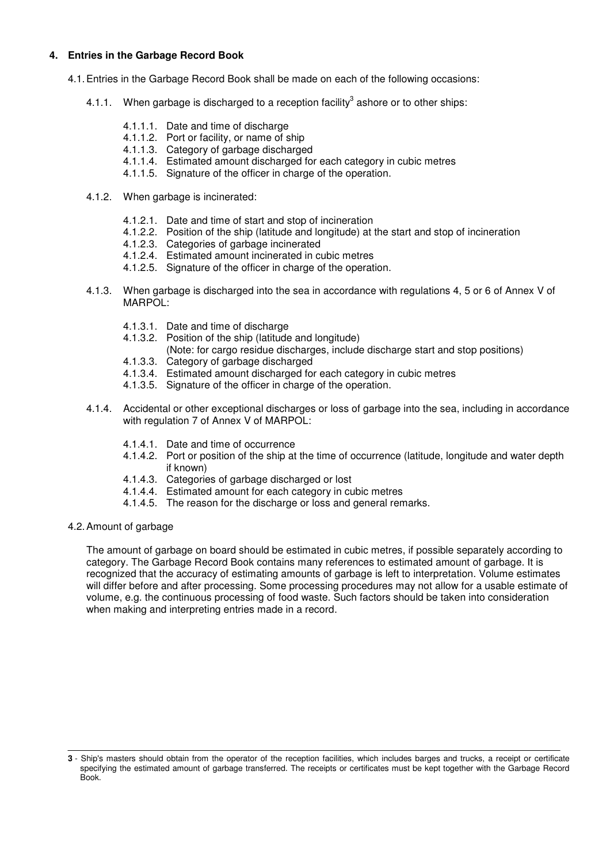## **4. Entries in the Garbage Record Book**

- 4.1. Entries in the Garbage Record Book shall be made on each of the following occasions:
	- 4.1.1. When garbage is discharged to a reception facility<sup>3</sup> ashore or to other ships:
		- 4.1.1.1. Date and time of discharge
		- 4.1.1.2. Port or facility, or name of ship
		- 4.1.1.3. Category of garbage discharged
		- 4.1.1.4. Estimated amount discharged for each category in cubic metres
		- 4.1.1.5. Signature of the officer in charge of the operation.
	- 4.1.2. When garbage is incinerated:
		- 4.1.2.1. Date and time of start and stop of incineration
		- 4.1.2.2. Position of the ship (latitude and longitude) at the start and stop of incineration
		- 4.1.2.3. Categories of garbage incinerated
		- 4.1.2.4. Estimated amount incinerated in cubic metres
		- 4.1.2.5. Signature of the officer in charge of the operation.
	- 4.1.3. When garbage is discharged into the sea in accordance with regulations 4, 5 or 6 of Annex V of MARPOL:
		- 4.1.3.1. Date and time of discharge
		- 4.1.3.2. Position of the ship (latitude and longitude)
			- (Note: for cargo residue discharges, include discharge start and stop positions)
		- 4.1.3.3. Category of garbage discharged
		- 4.1.3.4. Estimated amount discharged for each category in cubic metres
		- 4.1.3.5. Signature of the officer in charge of the operation.
	- 4.1.4. Accidental or other exceptional discharges or loss of garbage into the sea, including in accordance with regulation 7 of Annex V of MARPOL:
		- 4.1.4.1. Date and time of occurrence
		- 4.1.4.2. Port or position of the ship at the time of occurrence (latitude, longitude and water depth if known)
		- 4.1.4.3. Categories of garbage discharged or lost
		- 4.1.4.4. Estimated amount for each category in cubic metres
		- 4.1.4.5. The reason for the discharge or loss and general remarks.
- 4.2. Amount of garbage

The amount of garbage on board should be estimated in cubic metres, if possible separately according to category. The Garbage Record Book contains many references to estimated amount of garbage. It is recognized that the accuracy of estimating amounts of garbage is left to interpretation. Volume estimates will differ before and after processing. Some processing procedures may not allow for a usable estimate of volume, e.g. the continuous processing of food waste. Such factors should be taken into consideration when making and interpreting entries made in a record.

**<sup>3</sup>** - Ship's masters should obtain from the operator of the reception facilities, which includes barges and trucks, a receipt or certificate specifying the estimated amount of garbage transferred. The receipts or certificates must be kept together with the Garbage Record Book.